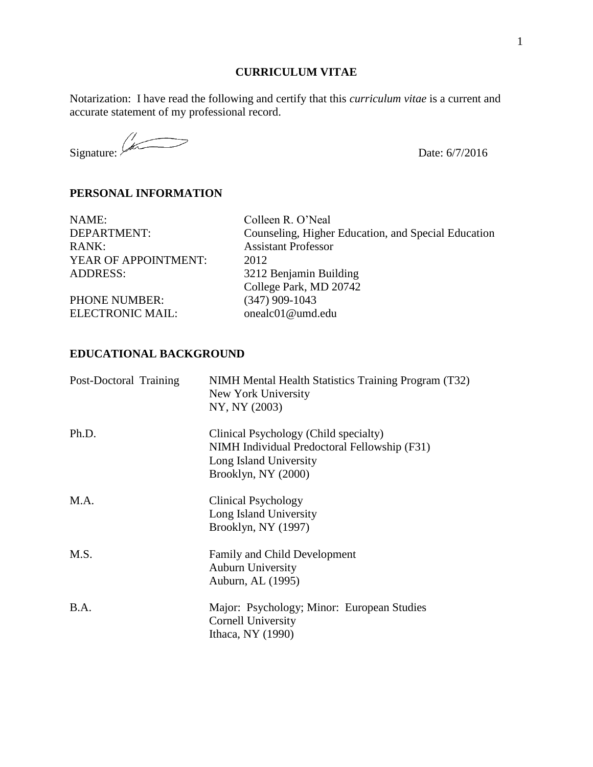#### **CURRICULUM VITAE**

Notarization: I have read the following and certify that this *curriculum vitae* is a current and accurate statement of my professional record.

Signature:  $\sqrt{\frac{1}{100}}$  Date: 6/7/2016

# **PERSONAL INFORMATION**

| NAME:                | Colleen R. O'Neal                                   |
|----------------------|-----------------------------------------------------|
| DEPARTMENT:          | Counseling, Higher Education, and Special Education |
| RANK:                | <b>Assistant Professor</b>                          |
| YEAR OF APPOINTMENT: | 2012                                                |
| <b>ADDRESS:</b>      | 3212 Benjamin Building                              |
|                      | College Park, MD 20742                              |
| <b>PHONE NUMBER:</b> | $(347)$ 909-1043                                    |
| ELECTRONIC MAIL:     | onealc01@umd.edu                                    |
|                      |                                                     |

# **EDUCATIONAL BACKGROUND**

| Post-Doctoral Training | NIMH Mental Health Statistics Training Program (T32)<br>New York University<br>NY, NY (2003)                                           |
|------------------------|----------------------------------------------------------------------------------------------------------------------------------------|
| Ph.D.                  | Clinical Psychology (Child specialty)<br>NIMH Individual Predoctoral Fellowship (F31)<br>Long Island University<br>Brooklyn, NY (2000) |
| M.A.                   | Clinical Psychology<br>Long Island University<br>Brooklyn, NY (1997)                                                                   |
| M.S.                   | Family and Child Development<br><b>Auburn University</b><br>Auburn, AL (1995)                                                          |
| <b>B.A.</b>            | Major: Psychology; Minor: European Studies<br>Cornell University<br>Ithaca, NY (1990)                                                  |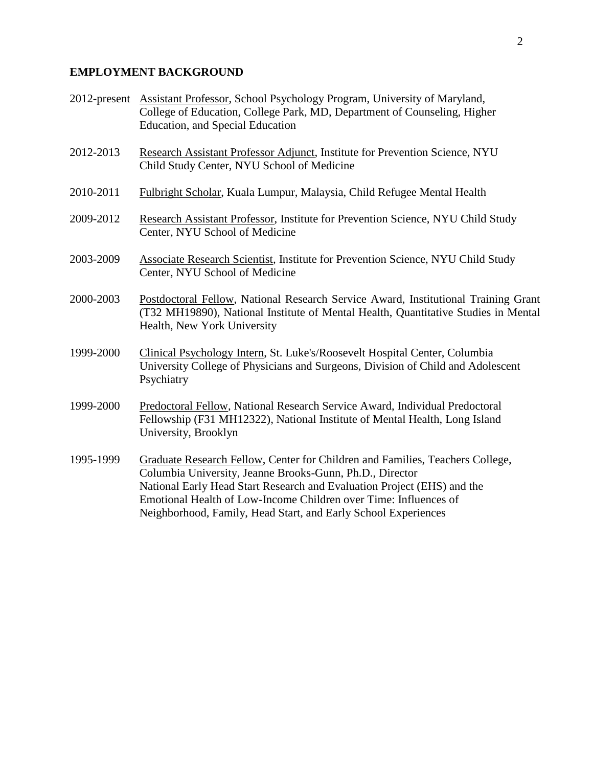# **EMPLOYMENT BACKGROUND**

| 2012-present | Assistant Professor, School Psychology Program, University of Maryland,<br>College of Education, College Park, MD, Department of Counseling, Higher<br>Education, and Special Education                                                                                                                                                                    |
|--------------|------------------------------------------------------------------------------------------------------------------------------------------------------------------------------------------------------------------------------------------------------------------------------------------------------------------------------------------------------------|
| 2012-2013    | Research Assistant Professor Adjunct, Institute for Prevention Science, NYU<br>Child Study Center, NYU School of Medicine                                                                                                                                                                                                                                  |
| 2010-2011    | Fulbright Scholar, Kuala Lumpur, Malaysia, Child Refugee Mental Health                                                                                                                                                                                                                                                                                     |
| 2009-2012    | Research Assistant Professor, Institute for Prevention Science, NYU Child Study<br>Center, NYU School of Medicine                                                                                                                                                                                                                                          |
| 2003-2009    | Associate Research Scientist, Institute for Prevention Science, NYU Child Study<br>Center, NYU School of Medicine                                                                                                                                                                                                                                          |
| 2000-2003    | Postdoctoral Fellow, National Research Service Award, Institutional Training Grant<br>(T32 MH19890), National Institute of Mental Health, Quantitative Studies in Mental<br>Health, New York University                                                                                                                                                    |
| 1999-2000    | Clinical Psychology Intern, St. Luke's/Roosevelt Hospital Center, Columbia<br>University College of Physicians and Surgeons, Division of Child and Adolescent<br>Psychiatry                                                                                                                                                                                |
| 1999-2000    | Predoctoral Fellow, National Research Service Award, Individual Predoctoral<br>Fellowship (F31 MH12322), National Institute of Mental Health, Long Island<br>University, Brooklyn                                                                                                                                                                          |
| 1995-1999    | Graduate Research Fellow, Center for Children and Families, Teachers College,<br>Columbia University, Jeanne Brooks-Gunn, Ph.D., Director<br>National Early Head Start Research and Evaluation Project (EHS) and the<br>Emotional Health of Low-Income Children over Time: Influences of<br>Neighborhood, Family, Head Start, and Early School Experiences |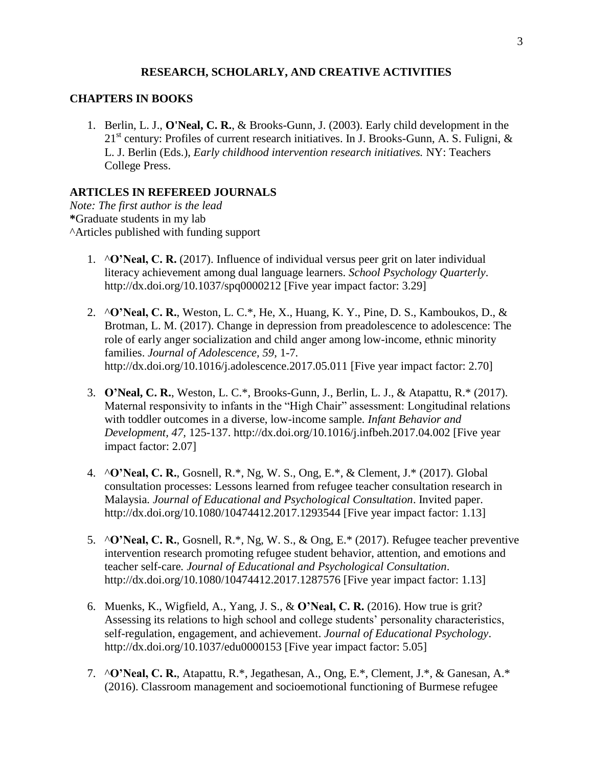#### **RESEARCH, SCHOLARLY, AND CREATIVE ACTIVITIES**

#### **CHAPTERS IN BOOKS**

1. Berlin, L. J., **O'Neal, C. R.**, & Brooks-Gunn, J. (2003). Early child development in the  $21<sup>st</sup>$  century: Profiles of current research initiatives. In J. Brooks-Gunn, A. S. Fuligni, & L. J. Berlin (Eds.), *Early childhood intervention research initiatives.* NY: Teachers College Press.

#### **ARTICLES IN REFEREED JOURNALS**

*Note: The first author is the lead*  **\***Graduate students in my lab ^Articles published with funding support

- 1. ^**O'Neal, C. R.** (2017). Influence of individual versus peer grit on later individual literacy achievement among dual language learners. *School Psychology Quarterly*. http://dx.doi.org/10.1037/spq0000212 [Five year impact factor: 3.29]
- 2. ^**O'Neal, C. R.**, Weston, L. C.\*, He, X., Huang, K. Y., Pine, D. S., Kamboukos, D., & Brotman, L. M. (2017). Change in depression from preadolescence to adolescence: The role of early anger socialization and child anger among low-income, ethnic minority families. *Journal of Adolescence, 59,* 1-7*.*  http://dx.doi.org/10.1016/j.adolescence.2017.05.011 [Five year impact factor: 2.70]
- 3. **O'Neal, C. R.**, Weston, L. C.\*, Brooks-Gunn, J., Berlin, L. J., & Atapattu, R.\* (2017). Maternal responsivity to infants in the "High Chair" assessment: Longitudinal relations with toddler outcomes in a diverse, low-income sample*. Infant Behavior and Development, 47,* 125-137. http://dx.doi.org/10.1016/j.infbeh.2017.04.002 [Five year impact factor: 2.07]
- 4. ^**O'Neal, C. R.**, Gosnell, R.\*, Ng, W. S., Ong, E.\*, & Clement, J.\* (2017). Global consultation processes: Lessons learned from refugee teacher consultation research in Malaysia*. Journal of Educational and Psychological Consultation*. Invited paper. <http://dx.doi.org/10.1080/10474412.2017.1293544> [Five year impact factor: 1.13]
- 5. ^**O'Neal, C. R.**, Gosnell, R.\*, Ng, W. S., & Ong, E.\* (2017). Refugee teacher preventive intervention research promoting refugee student behavior, attention, and emotions and teacher self-care*. Journal of Educational and Psychological Consultation*. <http://dx.doi.org/10.1080/10474412.2017.1287576> [Five year impact factor: 1.13]
- 6. Muenks, K., Wigfield, A., Yang, J. S., & **O'Neal, C. R.** (2016). How true is grit? Assessing its relations to high school and college students' personality characteristics, self-regulation, engagement, and achievement. *Journal of Educational Psychology*. [http://dx.doi.org/10.1037/edu0000153](http://psycnet.apa.org/doi/10.1037/edu0000153) [Five year impact factor: 5.05]
- 7. ^**O'Neal, C. R.**, Atapattu, R.\*, Jegathesan, A., Ong, E.\*, Clement, J.\*, & Ganesan, A.\* (2016). Classroom management and socioemotional functioning of Burmese refugee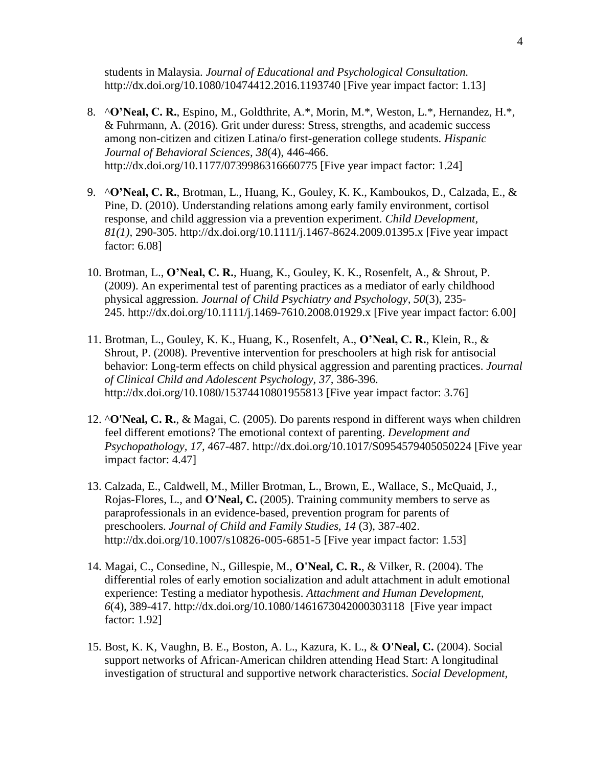students in Malaysia. *Journal of Educational and Psychological Consultation.* <http://dx.doi.org/10.1080/10474412.2016.1193740> [Five year impact factor: 1.13]

- 8. ^**O'Neal, C. R.**, Espino, M., Goldthrite, A.\*, Morin, M.\*, Weston, L.\*, Hernandez, H.\*, & Fuhrmann, A. (2016). Grit under duress: Stress, strengths, and academic success among non-citizen and citizen Latina/o first-generation college students. *Hispanic Journal of Behavioral Sciences, 38*(4), 446-466. [http://dx.doi.org/10.1177/0739986316660775](https://doi.org/10.1177/0739986316660775) [Five year impact factor: 1.24]
- 9. ^**O'Neal, C. R.**, Brotman, L., Huang, K., Gouley, K. K., Kamboukos, D., Calzada, E., & Pine, D. (2010). Understanding relations among early family environment, cortisol response, and child aggression via a prevention experiment. *Child Development, 81(1),* 290-305. http://dx.doi.org/10.1111/j.1467-8624.2009.01395.x [Five year impact factor: 6.08]
- 10. Brotman, L., **O'Neal, C. R.**, Huang, K., Gouley, K. K., Rosenfelt, A., & Shrout, P. (2009). An experimental test of parenting practices as a mediator of early childhood physical aggression. *Journal of Child Psychiatry and Psychology, 50*(3), 235- 245. http://dx.doi.org/10.1111/j.1469-7610.2008.01929.x [Five year impact factor: 6.00]
- 11. Brotman, L., Gouley, K. K., Huang, K., Rosenfelt, A., **O'Neal, C. R.**, Klein, R., & Shrout, P. (2008). Preventive intervention for preschoolers at high risk for antisocial behavior: Long-term effects on child physical aggression and parenting practices. *Journal of Clinical Child and Adolescent Psychology, 37,* 386-396. http://dx.doi.org/10.1080/15374410801955813 [Five year impact factor: 3.76]
- 12. ^**O'Neal, C. R.**, & Magai, C. (2005). Do parents respond in different ways when children feel different emotions? The emotional context of parenting. *Development and Psychopathology, 17,* 467-487. http://dx.doi.org/10.1017/S0954579405050224 [Five year impact factor: 4.47]
- 13. Calzada, E., Caldwell, M., Miller Brotman, L., Brown, E., Wallace, S., McQuaid, J., Rojas-Flores, L., and **O'Neal, C.** (2005). Training community members to serve as paraprofessionals in an evidence-based, prevention program for parents of preschoolers. *Journal of Child and Family Studies, 14* (3), 387-402. http://dx.doi.org/10.1007/s10826-005-6851-5 [Five year impact factor: 1.53]
- 14. Magai, C., Consedine, N., Gillespie, M., **O'Neal, C. R.**, & Vilker, R. (2004). The differential roles of early emotion socialization and adult attachment in adult emotional experience: Testing a mediator hypothesis. *Attachment and Human Development, 6*(4), 389-417. http://dx.doi.org[/10.1080/1461673042000303118](http://dx.doi.org.proxy-um.researchport.umd.edu/10.1080/1461673042000303118) [Five year impact factor: 1.92]
- 15. Bost, K. K, Vaughn, B. E., Boston, A. L., Kazura, K. L., & **O'Neal, C.** (2004). Social support networks of African-American children attending Head Start: A longitudinal investigation of structural and supportive network characteristics. *Social Development,*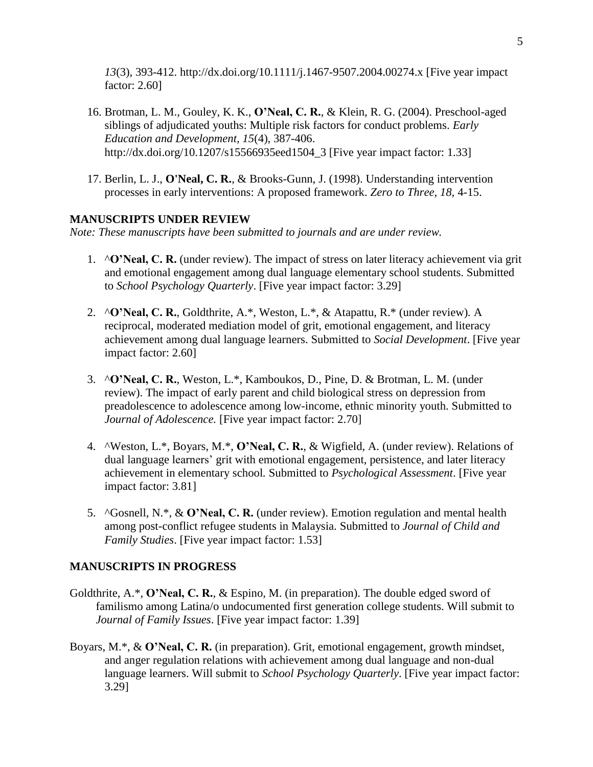*13*(3), 393-412. http://dx.doi.org/10.1111/j.1467-9507.2004.00274.x [Five year impact factor: 2.60]

- 16. Brotman, L. M., Gouley, K. K., **O'Neal, C. R.**, & Klein, R. G. (2004). Preschool-aged siblings of adjudicated youths: Multiple risk factors for conduct problems. *Early Education and Development, 15*(4), 387-406. http://dx.doi.org/10.1207/s15566935eed1504\_3 [Five year impact factor: 1.33]
- 17. Berlin, L. J., **O'Neal, C. R.**, & Brooks-Gunn, J. (1998). Understanding intervention processes in early interventions: A proposed framework. *Zero to Three, 18,* 4-15.

### **MANUSCRIPTS UNDER REVIEW**

*Note: These manuscripts have been submitted to journals and are under review.*

- 1. ^**O'Neal, C. R.** (under review). The impact of stress on later literacy achievement via grit and emotional engagement among dual language elementary school students. Submitted to *School Psychology Quarterly*. [Five year impact factor: 3.29]
- 2. ^**O'Neal, C. R.**, Goldthrite, A.\*, Weston, L.\*, & Atapattu, R.\* (under review)*.* A reciprocal, moderated mediation model of grit, emotional engagement, and literacy achievement among dual language learners. Submitted to *Social Development*. [Five year impact factor: 2.60]
- 3. ^**O'Neal, C. R.**, Weston, L.\*, Kamboukos, D., Pine, D. & Brotman, L. M. (under review). The impact of early parent and child biological stress on depression from preadolescence to adolescence among low-income, ethnic minority youth. Submitted to *Journal of Adolescence.* [Five year impact factor: 2.70]
- 4. ^Weston, L.\*, Boyars, M.\*, **O'Neal, C. R.**, & Wigfield, A. (under review). Relations of dual language learners' grit with emotional engagement, persistence, and later literacy achievement in elementary school*.* Submitted to *Psychological Assessment*. [Five year impact factor: 3.81]
- 5. ^Gosnell, N.\*, & **O'Neal, C. R.** (under review). Emotion regulation and mental health among post-conflict refugee students in Malaysia. Submitted to *Journal of Child and Family Studies*. [Five year impact factor: 1.53]

## **MANUSCRIPTS IN PROGRESS**

- Goldthrite, A.\*, **O'Neal, C. R.**, & Espino, M. (in preparation). The double edged sword of familismo among Latina/o undocumented first generation college students. Will submit to *Journal of Family Issues*. [Five year impact factor: 1.39]
- Boyars, M.\*, & **O'Neal, C. R.** (in preparation). Grit, emotional engagement, growth mindset, and anger regulation relations with achievement among dual language and non-dual language learners. Will submit to *School Psychology Quarterly*. [Five year impact factor: 3.29]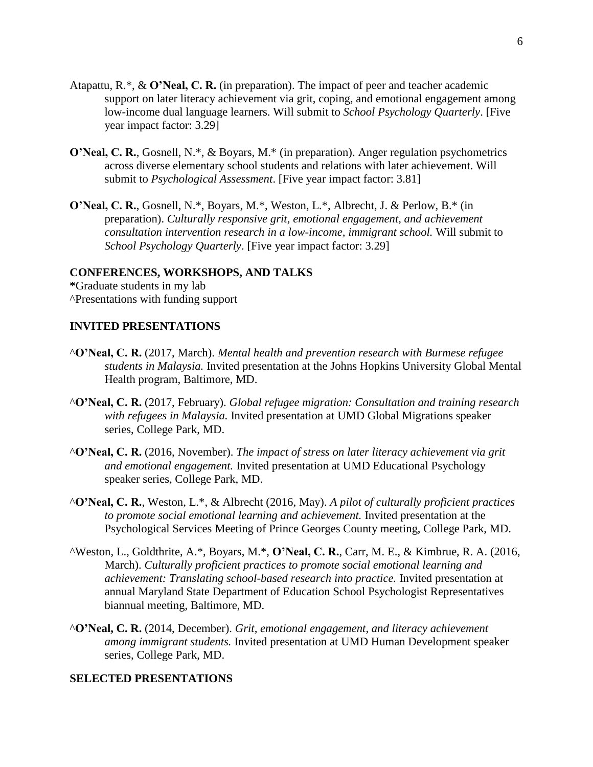- Atapattu, R.\*, & **O'Neal, C. R.** (in preparation). The impact of peer and teacher academic support on later literacy achievement via grit, coping, and emotional engagement among low-income dual language learners. Will submit to *School Psychology Quarterly*. [Five year impact factor: 3.29]
- **O'Neal, C. R.**, Gosnell, N.\*, & Boyars, M.\* (in preparation). Anger regulation psychometrics across diverse elementary school students and relations with later achievement. Will submit to *Psychological Assessment*. [Five year impact factor: 3.81]
- **O'Neal, C. R.**, Gosnell, N.\*, Boyars, M.\*, Weston, L.\*, Albrecht, J. & Perlow, B.\* (in preparation). *Culturally responsive grit, emotional engagement, and achievement consultation intervention research in a low-income, immigrant school.* Will submit to *School Psychology Quarterly*. [Five year impact factor: 3.29]

#### **CONFERENCES, WORKSHOPS, AND TALKS**

**\***Graduate students in my lab ^Presentations with funding support

#### **INVITED PRESENTATIONS**

- ^**O'Neal, C. R.** (2017, March). *Mental health and prevention research with Burmese refugee students in Malaysia.* Invited presentation at the Johns Hopkins University Global Mental Health program, Baltimore, MD.
- ^**O'Neal, C. R.** (2017, February). *Global refugee migration: Consultation and training research with refugees in Malaysia.* Invited presentation at UMD Global Migrations speaker series, College Park, MD.
- ^**O'Neal, C. R.** (2016, November). *The impact of stress on later literacy achievement via grit and emotional engagement.* Invited presentation at UMD Educational Psychology speaker series, College Park, MD.
- ^**O'Neal, C. R.**, Weston, L.\*, & Albrecht (2016, May). *A pilot of culturally proficient practices to promote social emotional learning and achievement.* Invited presentation at the Psychological Services Meeting of Prince Georges County meeting, College Park, MD.
- ^Weston, L., Goldthrite, A.\*, Boyars, M.\*, **O'Neal, C. R.**, Carr, M. E., & Kimbrue, R. A. (2016, March). *Culturally proficient practices to promote social emotional learning and achievement: Translating school-based research into practice.* Invited presentation at annual Maryland State Department of Education School Psychologist Representatives biannual meeting, Baltimore, MD.
- ^**O'Neal, C. R.** (2014, December). *Grit, emotional engagement, and literacy achievement among immigrant students.* Invited presentation at UMD Human Development speaker series, College Park, MD.

#### **SELECTED PRESENTATIONS**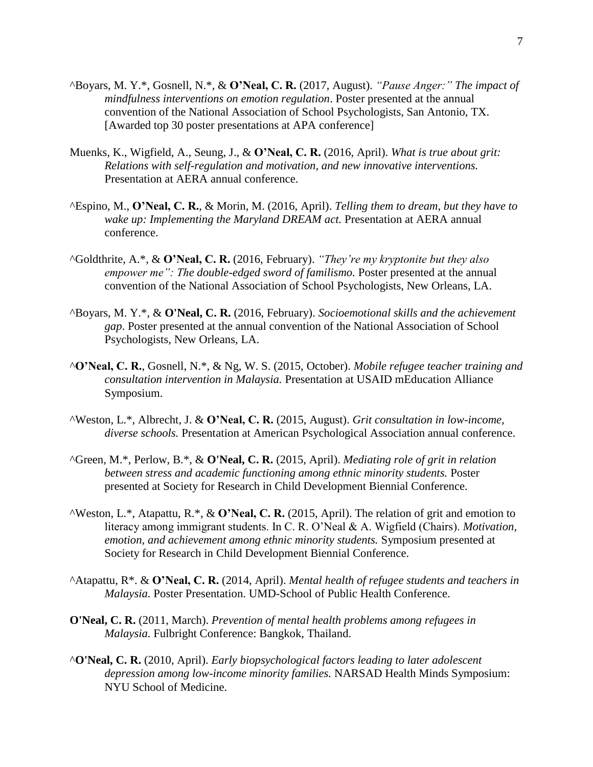- ^Boyars, M. Y.\*, Gosnell, N.\*, & **O'Neal, C. R.** (2017, August). *"Pause Anger:" The impact of mindfulness interventions on emotion regulation*. Poster presented at the annual convention of the National Association of School Psychologists, San Antonio, TX. [Awarded top 30 poster presentations at APA conference]
- Muenks, K., Wigfield, A., Seung, J., & **O'Neal, C. R.** (2016, April). *What is true about grit: Relations with self-regulation and motivation, and new innovative interventions.*  Presentation at AERA annual conference.
- ^Espino, M., **O'Neal, C. R.**, & Morin, M. (2016, April). *Telling them to dream, but they have to wake up: Implementing the Maryland DREAM act.* Presentation at AERA annual conference.
- ^Goldthrite, A.\*, & **O'Neal, C. R.** (2016, February). *"They're my kryptonite but they also empower me": The double-edged sword of familismo.* Poster presented at the annual convention of the National Association of School Psychologists, New Orleans, LA.
- ^Boyars, M. Y.\*, & **O'Neal, C. R.** (2016, February). *Socioemotional skills and the achievement gap*. Poster presented at the annual convention of the National Association of School Psychologists, New Orleans, LA.
- ^**O'Neal, C. R.**, Gosnell, N.\*, & Ng, W. S. (2015, October). *Mobile refugee teacher training and consultation intervention in Malaysia.* Presentation at USAID mEducation Alliance Symposium.
- ^Weston, L.\*, Albrecht, J. & **O'Neal, C. R.** (2015, August). *Grit consultation in low-income, diverse schools.* Presentation at American Psychological Association annual conference.
- ^Green, M.\*, Perlow, B.\*, & **O'Neal, C. R.** (2015, April). *Mediating role of grit in relation between stress and academic functioning among ethnic minority students.* Poster presented at Society for Research in Child Development Biennial Conference.
- ^Weston, L.\*, Atapattu, R.\*, & **O'Neal, C. R.** (2015, April). The relation of grit and emotion to literacy among immigrant students. In C. R. O'Neal & A. Wigfield (Chairs). *Motivation, emotion, and achievement among ethnic minority students.* Symposium presented at Society for Research in Child Development Biennial Conference.
- ^Atapattu, R\*. & **O'Neal, C. R.** (2014, April). *Mental health of refugee students and teachers in Malaysia.* Poster Presentation. UMD-School of Public Health Conference.
- **O'Neal, C. R.** (2011, March). *Prevention of mental health problems among refugees in Malaysia.* Fulbright Conference: Bangkok, Thailand.
- ^**O'Neal, C. R.** (2010, April). *Early biopsychological factors leading to later adolescent depression among low-income minority families.* NARSAD Health Minds Symposium: NYU School of Medicine.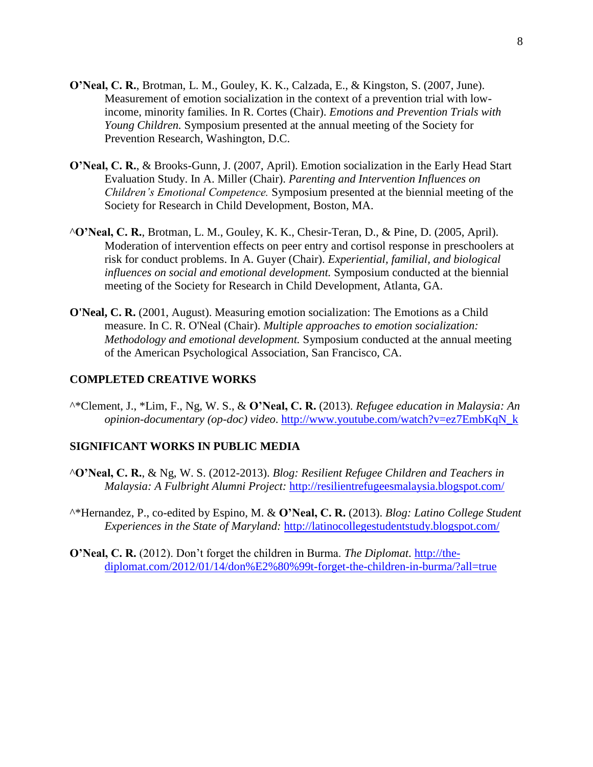- **O'Neal, C. R.**, Brotman, L. M., Gouley, K. K., Calzada, E., & Kingston, S. (2007, June). Measurement of emotion socialization in the context of a prevention trial with lowincome, minority families. In R. Cortes (Chair). *Emotions and Prevention Trials with Young Children.* Symposium presented at the annual meeting of the Society for Prevention Research, Washington, D.C.
- **O'Neal, C. R.**, & Brooks-Gunn, J. (2007, April). Emotion socialization in the Early Head Start Evaluation Study. In A. Miller (Chair). *Parenting and Intervention Influences on Children's Emotional Competence.* Symposium presented at the biennial meeting of the Society for Research in Child Development, Boston, MA.
- ^**O'Neal, C. R.**, Brotman, L. M., Gouley, K. K., Chesir-Teran, D., & Pine, D. (2005, April). Moderation of intervention effects on peer entry and cortisol response in preschoolers at risk for conduct problems. In A. Guyer (Chair). *Experiential, familial, and biological influences on social and emotional development.* Symposium conducted at the biennial meeting of the Society for Research in Child Development, Atlanta, GA.
- **O'Neal, C. R.** (2001, August). Measuring emotion socialization: The Emotions as a Child measure. In C. R. O'Neal (Chair). *Multiple approaches to emotion socialization: Methodology and emotional development.* Symposium conducted at the annual meeting of the American Psychological Association, San Francisco, CA.

#### **COMPLETED CREATIVE WORKS**

^\*Clement, J., \*Lim, F., Ng, W. S., & **O'Neal, C. R.** (2013). *Refugee education in Malaysia: An opinion-documentary (op-doc) video*. [http://www.youtube.com/watch?v=ez7EmbKqN\\_k](http://www.youtube.com/watch?v=ez7EmbKqN_k)

#### **SIGNIFICANT WORKS IN PUBLIC MEDIA**

- ^**O'Neal, C. R.**, & Ng, W. S. (2012-2013). *Blog: Resilient Refugee Children and Teachers in Malaysia: A Fulbright Alumni Project:* <http://resilientrefugeesmalaysia.blogspot.com/>
- ^\*Hernandez, P., co-edited by Espino, M. & **O'Neal, C. R.** (2013). *Blog: Latino College Student Experiences in the State of Maryland:* <http://latinocollegestudentstudy.blogspot.com/>
- **O'Neal, C. R.** (2012). Don't forget the children in Burma. *The Diplomat*. [http://the](http://the-diplomat.com/2012/01/14/don%E2%80%99t-forget-the-children-in-burma/?all=true)[diplomat.com/2012/01/14/don%E2%80%99t-forget-the-children-in-burma/?all=true](http://the-diplomat.com/2012/01/14/don%E2%80%99t-forget-the-children-in-burma/?all=true)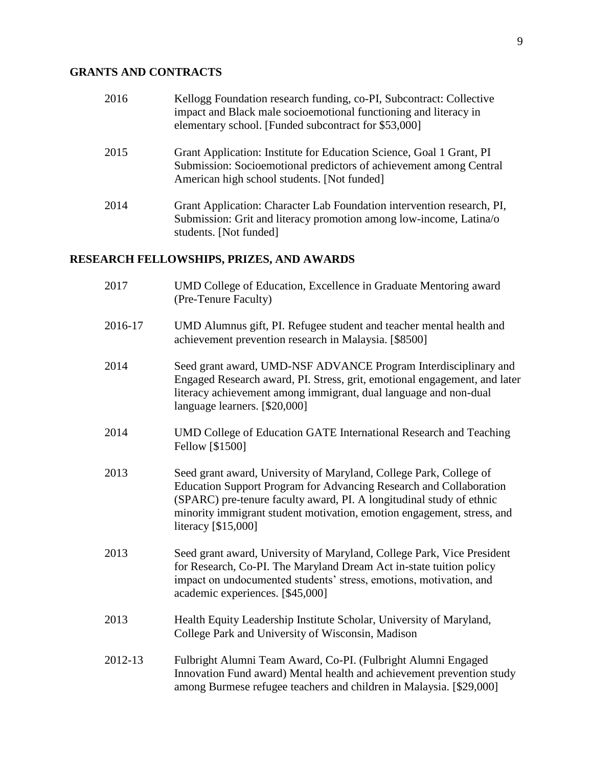# **GRANTS AND CONTRACTS**

| 2016 | Kellogg Foundation research funding, co-PI, Subcontract: Collective<br>impact and Black male socioemotional functioning and literacy in<br>elementary school. [Funded subcontract for \$53,000] |
|------|-------------------------------------------------------------------------------------------------------------------------------------------------------------------------------------------------|
| 2015 | Grant Application: Institute for Education Science, Goal 1 Grant, PI<br>Submission: Socioemotional predictors of achievement among Central<br>American high school students. [Not funded]       |
| 2014 | Grant Application: Character Lab Foundation intervention research, PI,<br>Submission: Grit and literacy promotion among low-income, Latina/o<br>students. [Not funded]                          |

# **RESEARCH FELLOWSHIPS, PRIZES, AND AWARDS**

| 2017    | UMD College of Education, Excellence in Graduate Mentoring award<br>(Pre-Tenure Faculty)                                                                                                                                                                                                                          |
|---------|-------------------------------------------------------------------------------------------------------------------------------------------------------------------------------------------------------------------------------------------------------------------------------------------------------------------|
| 2016-17 | UMD Alumnus gift, PI. Refugee student and teacher mental health and<br>achievement prevention research in Malaysia. [\$8500]                                                                                                                                                                                      |
| 2014    | Seed grant award, UMD-NSF ADVANCE Program Interdisciplinary and<br>Engaged Research award, PI. Stress, grit, emotional engagement, and later<br>literacy achievement among immigrant, dual language and non-dual<br>language learners. [\$20,000]                                                                 |
| 2014    | UMD College of Education GATE International Research and Teaching<br>Fellow [\$1500]                                                                                                                                                                                                                              |
| 2013    | Seed grant award, University of Maryland, College Park, College of<br>Education Support Program for Advancing Research and Collaboration<br>(SPARC) pre-tenure faculty award, PI. A longitudinal study of ethnic<br>minority immigrant student motivation, emotion engagement, stress, and<br>literacy [\$15,000] |
| 2013    | Seed grant award, University of Maryland, College Park, Vice President<br>for Research, Co-PI. The Maryland Dream Act in-state tuition policy<br>impact on undocumented students' stress, emotions, motivation, and<br>academic experiences. [\$45,000]                                                           |
| 2013    | Health Equity Leadership Institute Scholar, University of Maryland,<br>College Park and University of Wisconsin, Madison                                                                                                                                                                                          |
| 2012-13 | Fulbright Alumni Team Award, Co-PI. (Fulbright Alumni Engaged<br>Innovation Fund award) Mental health and achievement prevention study<br>among Burmese refugee teachers and children in Malaysia. [\$29,000]                                                                                                     |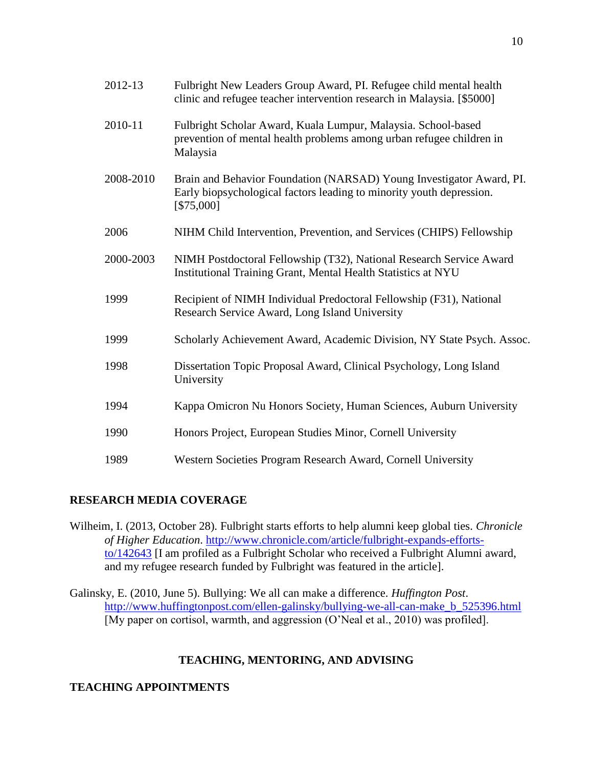| 2012-13   | Fulbright New Leaders Group Award, PI. Refugee child mental health<br>clinic and refugee teacher intervention research in Malaysia. [\$5000]               |
|-----------|------------------------------------------------------------------------------------------------------------------------------------------------------------|
| 2010-11   | Fulbright Scholar Award, Kuala Lumpur, Malaysia. School-based<br>prevention of mental health problems among urban refugee children in<br>Malaysia          |
| 2008-2010 | Brain and Behavior Foundation (NARSAD) Young Investigator Award, PI.<br>Early biopsychological factors leading to minority youth depression.<br>[\$75,000] |
| 2006      | NIHM Child Intervention, Prevention, and Services (CHIPS) Fellowship                                                                                       |
| 2000-2003 | NIMH Postdoctoral Fellowship (T32), National Research Service Award<br>Institutional Training Grant, Mental Health Statistics at NYU                       |
| 1999      | Recipient of NIMH Individual Predoctoral Fellowship (F31), National<br>Research Service Award, Long Island University                                      |
| 1999      | Scholarly Achievement Award, Academic Division, NY State Psych. Assoc.                                                                                     |
| 1998      | Dissertation Topic Proposal Award, Clinical Psychology, Long Island<br>University                                                                          |
| 1994      | Kappa Omicron Nu Honors Society, Human Sciences, Auburn University                                                                                         |
| 1990      | Honors Project, European Studies Minor, Cornell University                                                                                                 |
| 1989      | Western Societies Program Research Award, Cornell University                                                                                               |

## **RESEARCH MEDIA COVERAGE**

Wilheim, I. (2013, October 28). Fulbright starts efforts to help alumni keep global ties. *Chronicle of Higher Education*. [http://www.chronicle.com/article/fulbright-expands-efforts](http://www.chronicle.com/article/fulbright-expands-efforts-to/142643)[to/142643](http://www.chronicle.com/article/fulbright-expands-efforts-to/142643) [I am profiled as a Fulbright Scholar who received a Fulbright Alumni award, and my refugee research funded by Fulbright was featured in the article].

Galinsky, E. (2010, June 5). Bullying: We all can make a difference. *Huffington Post*. [http://www.huffingtonpost.com/ellen-galinsky/bullying-we-all-can-make\\_b\\_525396.html](http://www.huffingtonpost.com/ellen-galinsky/bullying-we-all-can-make_b_525396.html) [My paper on cortisol, warmth, and aggression (O'Neal et al., 2010) was profiled].

## **TEACHING, MENTORING, AND ADVISING**

# **TEACHING APPOINTMENTS**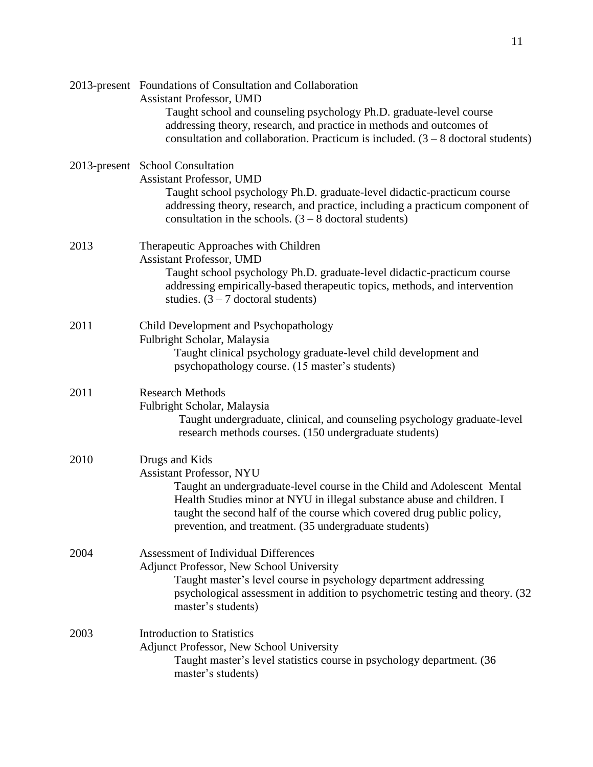|      | 2013-present Foundations of Consultation and Collaboration<br><b>Assistant Professor, UMD</b><br>Taught school and counseling psychology Ph.D. graduate-level course<br>addressing theory, research, and practice in methods and outcomes of<br>consultation and collaboration. Practicum is included. $(3 - 8$ doctoral students)         |
|------|--------------------------------------------------------------------------------------------------------------------------------------------------------------------------------------------------------------------------------------------------------------------------------------------------------------------------------------------|
|      | 2013-present School Consultation<br><b>Assistant Professor, UMD</b><br>Taught school psychology Ph.D. graduate-level didactic-practicum course<br>addressing theory, research, and practice, including a practicum component of<br>consultation in the schools. $(3 - 8$ doctoral students)                                                |
| 2013 | Therapeutic Approaches with Children<br><b>Assistant Professor, UMD</b><br>Taught school psychology Ph.D. graduate-level didactic-practicum course<br>addressing empirically-based therapeutic topics, methods, and intervention<br>studies. $(3 – 7$ doctoral students)                                                                   |
| 2011 | Child Development and Psychopathology<br>Fulbright Scholar, Malaysia<br>Taught clinical psychology graduate-level child development and<br>psychopathology course. (15 master's students)                                                                                                                                                  |
| 2011 | <b>Research Methods</b><br>Fulbright Scholar, Malaysia<br>Taught undergraduate, clinical, and counseling psychology graduate-level<br>research methods courses. (150 undergraduate students)                                                                                                                                               |
| 2010 | Drugs and Kids<br><b>Assistant Professor, NYU</b><br>Taught an undergraduate-level course in the Child and Adolescent Mental<br>Health Studies minor at NYU in illegal substance abuse and children. I<br>taught the second half of the course which covered drug public policy,<br>prevention, and treatment. (35 undergraduate students) |
| 2004 | <b>Assessment of Individual Differences</b><br>Adjunct Professor, New School University<br>Taught master's level course in psychology department addressing<br>psychological assessment in addition to psychometric testing and theory. (32)<br>master's students)                                                                         |
| 2003 | <b>Introduction to Statistics</b><br>Adjunct Professor, New School University<br>Taught master's level statistics course in psychology department. (36<br>master's students)                                                                                                                                                               |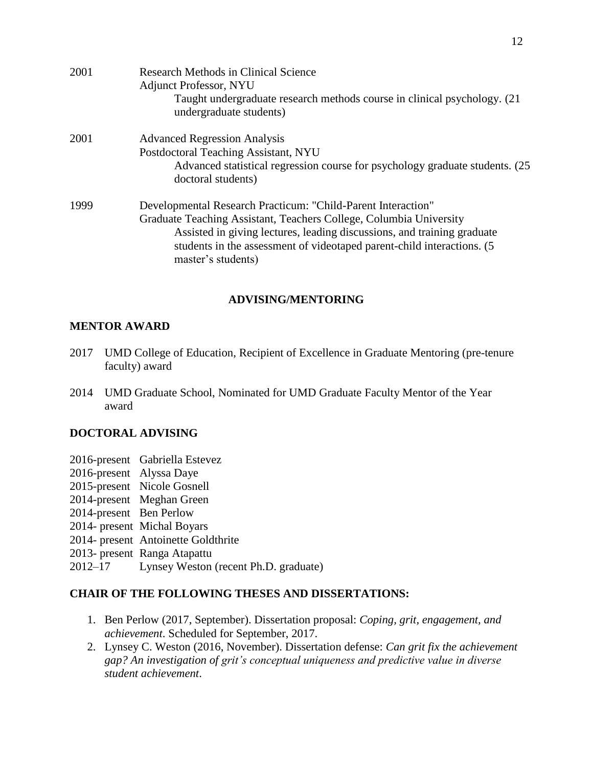| 2001 | <b>Research Methods in Clinical Science</b><br><b>Adjunct Professor, NYU</b><br>Taught undergraduate research methods course in clinical psychology. (21)<br>undergraduate students)                                                                                                                           |
|------|----------------------------------------------------------------------------------------------------------------------------------------------------------------------------------------------------------------------------------------------------------------------------------------------------------------|
| 2001 | <b>Advanced Regression Analysis</b><br>Postdoctoral Teaching Assistant, NYU<br>Advanced statistical regression course for psychology graduate students. (25)<br>doctoral students)                                                                                                                             |
| 1999 | Developmental Research Practicum: "Child-Parent Interaction"<br>Graduate Teaching Assistant, Teachers College, Columbia University<br>Assisted in giving lectures, leading discussions, and training graduate<br>students in the assessment of videotaped parent-child interactions. (5)<br>master's students) |

### **ADVISING/MENTORING**

#### **MENTOR AWARD**

- 2017 UMD College of Education, Recipient of Excellence in Graduate Mentoring (pre-tenure faculty) award
- 2014 UMD Graduate School, Nominated for UMD Graduate Faculty Mentor of the Year award

#### **DOCTORAL ADVISING**

- 2016-present Gabriella Estevez
- 2016-present Alyssa Daye
- 2015-present Nicole Gosnell
- 2014-present Meghan Green
- 2014-present Ben Perlow
- 2014- present Michal Boyars
- 2014- present Antoinette Goldthrite
- 2013- present Ranga Atapattu
- 2012–17 Lynsey Weston (recent Ph.D. graduate)

#### **CHAIR OF THE FOLLOWING THESES AND DISSERTATIONS:**

- 1. Ben Perlow (2017, September). Dissertation proposal: *Coping, grit, engagement, and achievement*. Scheduled for September, 2017.
- 2. Lynsey C. Weston (2016, November). Dissertation defense: *Can grit fix the achievement gap? An investigation of grit's conceptual uniqueness and predictive value in diverse student achievement*.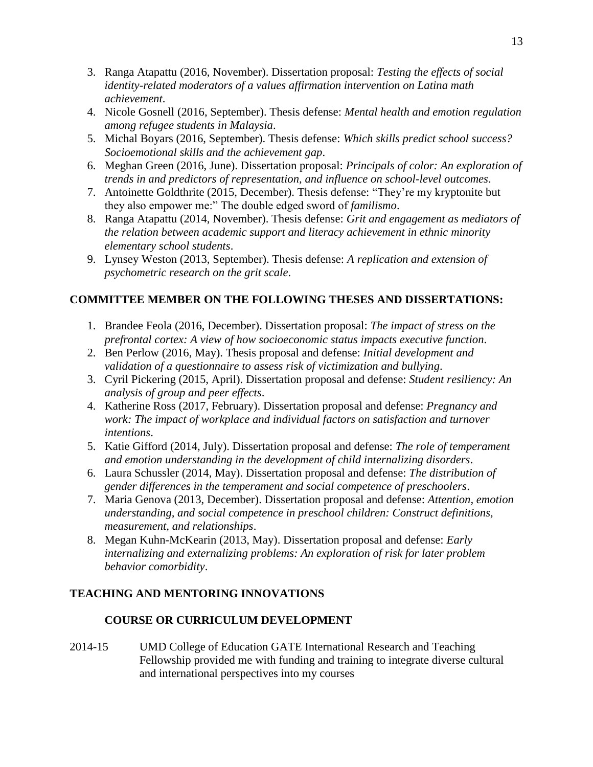- 3. Ranga Atapattu (2016, November). Dissertation proposal: *Testing the effects of social identity-related moderators of a values affirmation intervention on Latina math achievement*.
- 4. Nicole Gosnell (2016, September). Thesis defense: *Mental health and emotion regulation among refugee students in Malaysia*.
- 5. Michal Boyars (2016, September). Thesis defense: *Which skills predict school success? Socioemotional skills and the achievement gap*.
- 6. Meghan Green (2016, June). Dissertation proposal: *Principals of color: An exploration of trends in and predictors of representation, and influence on school-level outcomes*.
- 7. Antoinette Goldthrite (2015, December). Thesis defense: "They're my kryptonite but they also empower me:" The double edged sword of *familismo*.
- 8. Ranga Atapattu (2014, November). Thesis defense: *Grit and engagement as mediators of the relation between academic support and literacy achievement in ethnic minority elementary school students*.
- 9. Lynsey Weston (2013, September). Thesis defense: *A replication and extension of psychometric research on the grit scale*.

# **COMMITTEE MEMBER ON THE FOLLOWING THESES AND DISSERTATIONS:**

- 1. Brandee Feola (2016, December). Dissertation proposal: *The impact of stress on the prefrontal cortex: A view of how socioeconomic status impacts executive function.*
- 2. Ben Perlow (2016, May). Thesis proposal and defense: *Initial development and validation of a questionnaire to assess risk of victimization and bullying*.
- 3. Cyril Pickering (2015, April). Dissertation proposal and defense: *Student resiliency: An analysis of group and peer effects*.
- 4. Katherine Ross (2017, February). Dissertation proposal and defense: *Pregnancy and work: The impact of workplace and individual factors on satisfaction and turnover intentions*.
- 5. Katie Gifford (2014, July). Dissertation proposal and defense: *The role of temperament and emotion understanding in the development of child internalizing disorders*.
- 6. Laura Schussler (2014, May). Dissertation proposal and defense: *The distribution of gender differences in the temperament and social competence of preschoolers*.
- 7. Maria Genova (2013, December). Dissertation proposal and defense: *Attention, emotion understanding, and social competence in preschool children: Construct definitions, measurement, and relationships*.
- 8. Megan Kuhn-McKearin (2013, May). Dissertation proposal and defense: *Early internalizing and externalizing problems: An exploration of risk for later problem behavior comorbidity*.

# **TEACHING AND MENTORING INNOVATIONS**

## **COURSE OR CURRICULUM DEVELOPMENT**

2014-15 UMD College of Education GATE International Research and Teaching Fellowship provided me with funding and training to integrate diverse cultural and international perspectives into my courses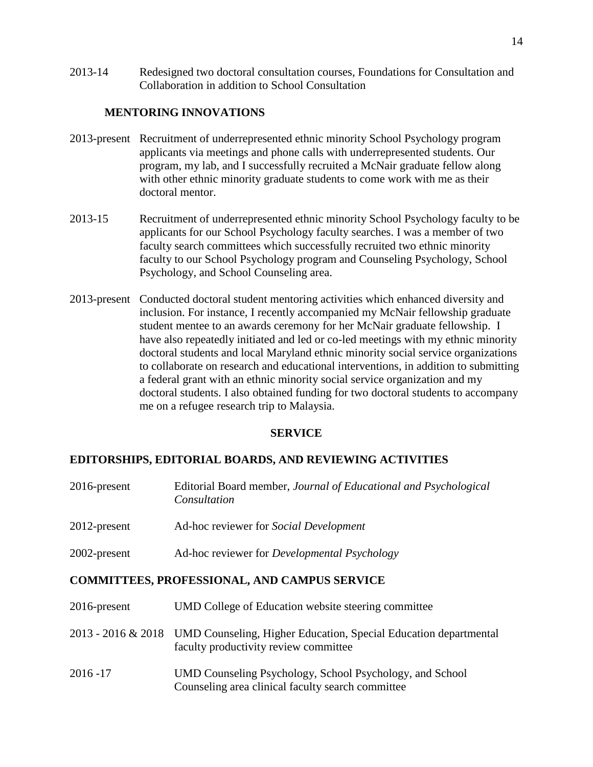2013-14 Redesigned two doctoral consultation courses, Foundations for Consultation and Collaboration in addition to School Consultation

#### **MENTORING INNOVATIONS**

- 2013-present Recruitment of underrepresented ethnic minority School Psychology program applicants via meetings and phone calls with underrepresented students. Our program, my lab, and I successfully recruited a McNair graduate fellow along with other ethnic minority graduate students to come work with me as their doctoral mentor.
- 2013-15 Recruitment of underrepresented ethnic minority School Psychology faculty to be applicants for our School Psychology faculty searches. I was a member of two faculty search committees which successfully recruited two ethnic minority faculty to our School Psychology program and Counseling Psychology, School Psychology, and School Counseling area.
- 2013-present Conducted doctoral student mentoring activities which enhanced diversity and inclusion. For instance, I recently accompanied my McNair fellowship graduate student mentee to an awards ceremony for her McNair graduate fellowship. I have also repeatedly initiated and led or co-led meetings with my ethnic minority doctoral students and local Maryland ethnic minority social service organizations to collaborate on research and educational interventions, in addition to submitting a federal grant with an ethnic minority social service organization and my doctoral students. I also obtained funding for two doctoral students to accompany me on a refugee research trip to Malaysia.

#### **SERVICE**

#### **EDITORSHIPS, EDITORIAL BOARDS, AND REVIEWING ACTIVITIES**

| $2016$ -present | Editorial Board member, Journal of Educational and Psychological<br>Consultation |
|-----------------|----------------------------------------------------------------------------------|
| $2012$ -present | Ad-hoc reviewer for Social Development                                           |
| 2002-present    | Ad-hoc reviewer for <i>Developmental Psychology</i>                              |

#### **COMMITTEES, PROFESSIONAL, AND CAMPUS SERVICE**

| $2016$ -present | UMD College of Education website steering committee                                                                          |
|-----------------|------------------------------------------------------------------------------------------------------------------------------|
|                 | 2013 - 2016 & 2018 UMD Counseling, Higher Education, Special Education departmental<br>faculty productivity review committee |
| $2016 - 17$     | UMD Counseling Psychology, School Psychology, and School<br>Counseling area clinical faculty search committee                |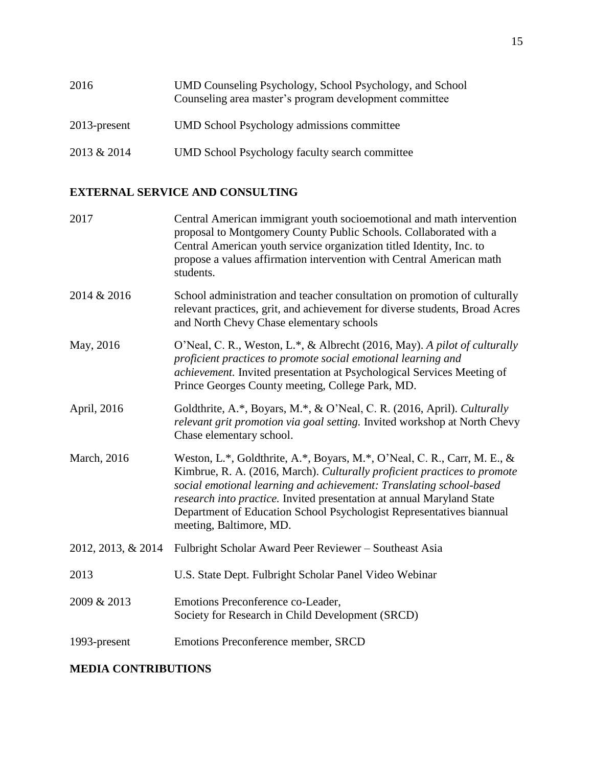| 2016            | UMD Counseling Psychology, School Psychology, and School<br>Counseling area master's program development committee |
|-----------------|--------------------------------------------------------------------------------------------------------------------|
| $2013$ -present | UMD School Psychology admissions committee                                                                         |
| 2013 & 2014     | <b>UMD School Psychology faculty search committee</b>                                                              |

# **EXTERNAL SERVICE AND CONSULTING**

| 2017               | Central American immigrant youth socioemotional and math intervention<br>proposal to Montgomery County Public Schools. Collaborated with a<br>Central American youth service organization titled Identity, Inc. to<br>propose a values affirmation intervention with Central American math<br>students.                                                                                                 |
|--------------------|---------------------------------------------------------------------------------------------------------------------------------------------------------------------------------------------------------------------------------------------------------------------------------------------------------------------------------------------------------------------------------------------------------|
| 2014 & 2016        | School administration and teacher consultation on promotion of culturally<br>relevant practices, grit, and achievement for diverse students, Broad Acres<br>and North Chevy Chase elementary schools                                                                                                                                                                                                    |
| May, 2016          | O'Neal, C. R., Weston, L.*, & Albrecht (2016, May). A pilot of culturally<br>proficient practices to promote social emotional learning and<br>achievement. Invited presentation at Psychological Services Meeting of<br>Prince Georges County meeting, College Park, MD.                                                                                                                                |
| April, 2016        | Goldthrite, A.*, Boyars, M.*, & O'Neal, C. R. (2016, April). Culturally<br>relevant grit promotion via goal setting. Invited workshop at North Chevy<br>Chase elementary school.                                                                                                                                                                                                                        |
| March, 2016        | Weston, L.*, Goldthrite, A.*, Boyars, M.*, O'Neal, C. R., Carr, M. E., &<br>Kimbrue, R. A. (2016, March). Culturally proficient practices to promote<br>social emotional learning and achievement: Translating school-based<br>research into practice. Invited presentation at annual Maryland State<br>Department of Education School Psychologist Representatives biannual<br>meeting, Baltimore, MD. |
| 2012, 2013, & 2014 | Fulbright Scholar Award Peer Reviewer - Southeast Asia                                                                                                                                                                                                                                                                                                                                                  |
| 2013               | U.S. State Dept. Fulbright Scholar Panel Video Webinar                                                                                                                                                                                                                                                                                                                                                  |
| 2009 & 2013        | Emotions Preconference co-Leader,<br>Society for Research in Child Development (SRCD)                                                                                                                                                                                                                                                                                                                   |
| 1993-present       | Emotions Preconference member, SRCD                                                                                                                                                                                                                                                                                                                                                                     |

# **MEDIA CONTRIBUTIONS**